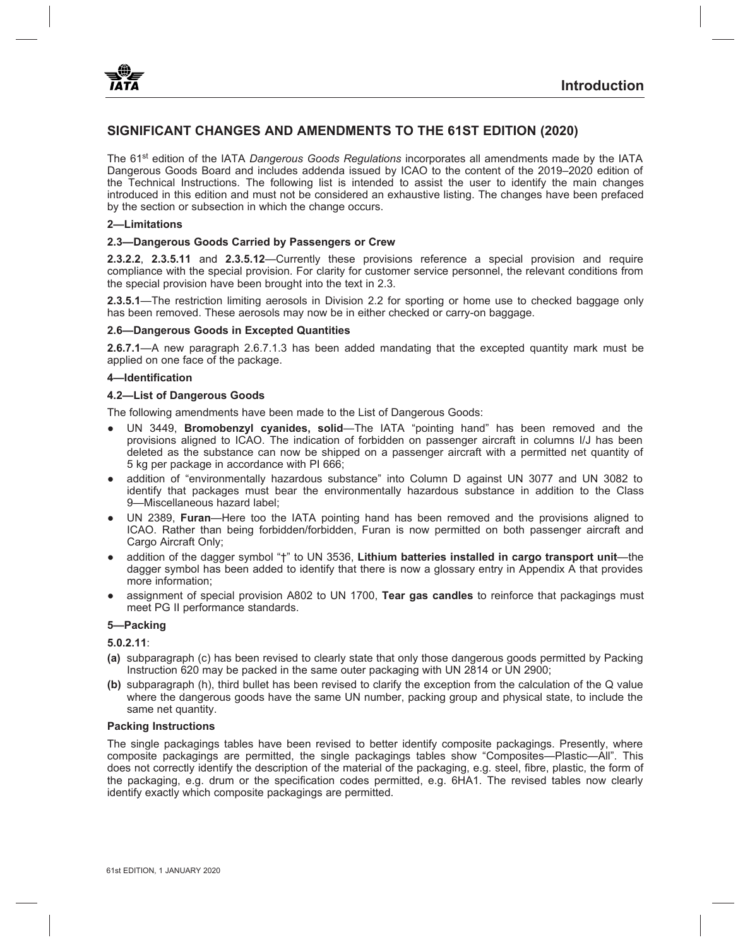

# **SIGNIFICANT CHANGES AND AMENDMENTS TO THE 61ST EDITION (2020)**

The 61st edition of the IATA *Dangerous Goods Regulations* incorporates all amendments made by the IATA Dangerous Goods Board and includes addenda issued by ICAO to the content of the 2019–2020 edition of the Technical Instructions. The following list is intended to assist the user to identify the main changes introduced in this edition and must not be considered an exhaustive listing. The changes have been prefaced by the section or subsection in which the change occurs.

#### **2—Limitations**

### **2.3—Dangerous Goods Carried by Passengers or Crew**

**2.3.2.2**, **2.3.5.11** and **2.3.5.12**—Currently these provisions reference a special provision and require compliance with the special provision. For clarity for customer service personnel, the relevant conditions from the special provision have been brought into the text in 2.3.

**2.3.5.1**—The restriction limiting aerosols in Division 2.2 for sporting or home use to checked baggage only has been removed. These aerosols may now be in either checked or carry-on baggage.

#### **2.6—Dangerous Goods in Excepted Quantities**

**2.6.7.1**—A new paragraph 2.6.7.1.3 has been added mandating that the excepted quantity mark must be applied on one face of the package.

#### **4—Identification**

#### **4.2—List of Dangerous Goods**

The following amendments have been made to the List of Dangerous Goods:

- UN 3449, **Bromobenzyl cyanides, solid**—The IATA "pointing hand" has been removed and the provisions aligned to ICAO. The indication of forbidden on passenger aircraft in columns I/J has been deleted as the substance can now be shipped on a passenger aircraft with a permitted net quantity of 5 kg per package in accordance with PI 666;
- addition of "environmentally hazardous substance" into Column D against UN 3077 and UN 3082 to identify that packages must bear the environmentally hazardous substance in addition to the Class 9—Miscellaneous hazard label;
- UN 2389, **Furan**—Here too the IATA pointing hand has been removed and the provisions aligned to ICAO. Rather than being forbidden/forbidden, Furan is now permitted on both passenger aircraft and Cargo Aircraft Only;
- addition of the dagger symbol "†" to UN 3536, **Lithium batteries installed in cargo transport unit**—the dagger symbol has been added to identify that there is now a glossary entry in Appendix A that provides more information;
- assignment of special provision A802 to UN 1700, **Tear gas candles** to reinforce that packagings must meet PG II performance standards.

#### **5—Packing**

## **5.0.2.11**:

- **(a)** subparagraph (c) has been revised to clearly state that only those dangerous goods permitted by Packing Instruction 620 may be packed in the same outer packaging with UN 2814 or UN 2900;
- **(b)** subparagraph (h), third bullet has been revised to clarify the exception from the calculation of the Q value where the dangerous goods have the same UN number, packing group and physical state, to include the same net quantity.

#### **Packing Instructions**

The single packagings tables have been revised to better identify composite packagings. Presently, where composite packagings are permitted, the single packagings tables show "Composites—Plastic—All". This does not correctly identify the description of the material of the packaging, e.g. steel, fibre, plastic, the form of the packaging, e.g. drum or the specification codes permitted, e.g. 6HA1. The revised tables now clearly identify exactly which composite packagings are permitted.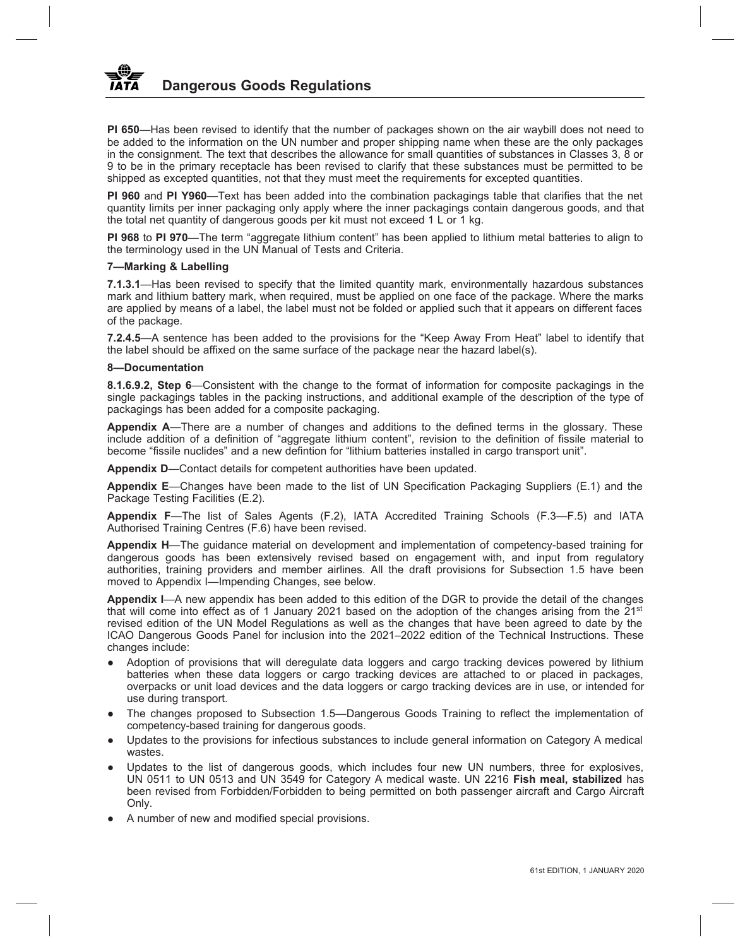**PI 650**—Has been revised to identify that the number of packages shown on the air waybill does not need to be added to the information on the UN number and proper shipping name when these are the only packages in the consignment. The text that describes the allowance for small quantities of substances in Classes 3, 8 or 9 to be in the primary receptacle has been revised to clarify that these substances must be permitted to be shipped as excepted quantities, not that they must meet the requirements for excepted quantities.

**PI 960** and **PI Y960**—Text has been added into the combination packagings table that clarifies that the net quantity limits per inner packaging only apply where the inner packagings contain dangerous goods, and that the total net quantity of dangerous goods per kit must not exceed 1 L or 1 kg.

**PI 968** to **PI 970**—The term "aggregate lithium content" has been applied to lithium metal batteries to align to the terminology used in the UN Manual of Tests and Criteria.

# **7—Marking & Labelling**

**7.1.3.1**—Has been revised to specify that the limited quantity mark, environmentally hazardous substances mark and lithium battery mark, when required, must be applied on one face of the package. Where the marks are applied by means of a label, the label must not be folded or applied such that it appears on different faces of the package.

**7.2.4.5**—A sentence has been added to the provisions for the "Keep Away From Heat" label to identify that the label should be affixed on the same surface of the package near the hazard label(s).

# **8—Documentation**

**8.1.6.9.2, Step 6**—Consistent with the change to the format of information for composite packagings in the single packagings tables in the packing instructions, and additional example of the description of the type of packagings has been added for a composite packaging.

**Appendix A**—There are a number of changes and additions to the defined terms in the glossary. These include addition of a definition of "aggregate lithium content", revision to the definition of fissile material to become "fissile nuclides" and a new defintion for "lithium batteries installed in cargo transport unit".

**Appendix D**—Contact details for competent authorities have been updated.

**Appendix E**—Changes have been made to the list of UN Specification Packaging Suppliers (E.1) and the Package Testing Facilities (E.2).

**Appendix F**—The list of Sales Agents (F.2), IATA Accredited Training Schools (F.3—F.5) and IATA Authorised Training Centres (F.6) have been revised.

**Appendix H**—The guidance material on development and implementation of competency-based training for dangerous goods has been extensively revised based on engagement with, and input from regulatory authorities, training providers and member airlines. All the draft provisions for Subsection 1.5 have been moved to Appendix I—Impending Changes, see below.

**Appendix I**—A new appendix has been added to this edition of the DGR to provide the detail of the changes that will come into effect as of 1 January 2021 based on the adoption of the changes arising from the 21<sup>st</sup> revised edition of the UN Model Regulations as well as the changes that have been agreed to date by the ICAO Dangerous Goods Panel for inclusion into the 2021–2022 edition of the Technical Instructions. These changes include:

- Adoption of provisions that will deregulate data loggers and cargo tracking devices powered by lithium batteries when these data loggers or cargo tracking devices are attached to or placed in packages, overpacks or unit load devices and the data loggers or cargo tracking devices are in use, or intended for use during transport.
- The changes proposed to Subsection 1.5—Dangerous Goods Training to reflect the implementation of competency-based training for dangerous goods.
- Updates to the provisions for infectious substances to include general information on Category A medical wastes.
- Updates to the list of dangerous goods, which includes four new UN numbers, three for explosives, UN 0511 to UN 0513 and UN 3549 for Category A medical waste. UN 2216 **Fish meal, stabilized** has been revised from Forbidden/Forbidden to being permitted on both passenger aircraft and Cargo Aircraft Only.
- A number of new and modified special provisions.